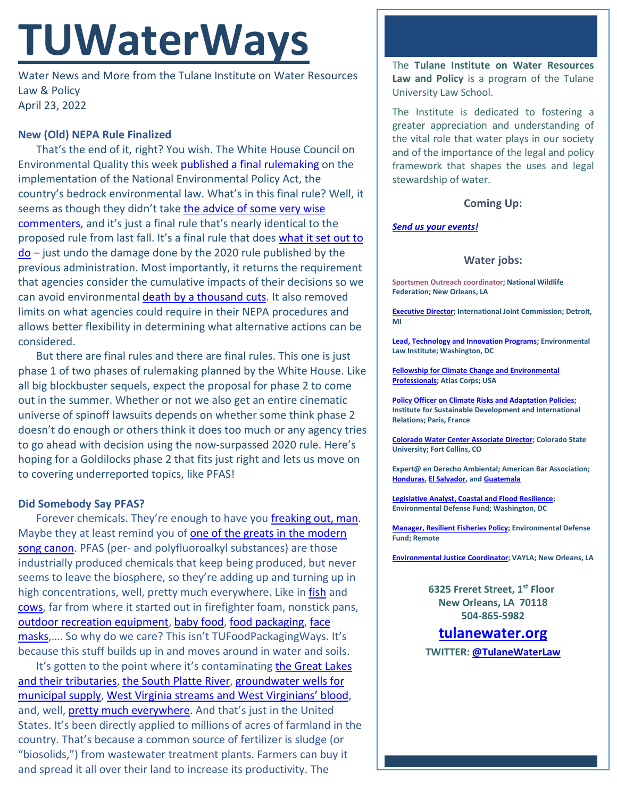# **TUWaterWays**

Water News and More from the Tulane Institute on Water Resources Law & Policy April 23, 2022

### **New (Old) NEPA Rule Finalized**

That's the end of it, right? You wish. The White House Council on Environmental Quality this week [published a final rulemaking](https://public-inspection.federalregister.gov/2022-08288.pdf) on the implementation of the National Environmental Policy Act, the country's bedrock environmental law. What's in this final rule? Well, it seems as though they didn't take the advice of some very wise [commenters,](https://www.regulations.gov/comment/CEQ-2021-0002-39328) and it's just a final rule that's nearly identical to the proposed rule from last fall. It's a final rule that does what it set out to  $do$  – just undo the damage done by the 2020 rule published by the previous administration. Most importantly, it returns the requirement that agencies consider the cumulative impacts of their decisions so we can avoid environmental [death by a thousand](https://www.youtube.com/watch?v=GTEFSuFfgnU) cuts. It also removed limits on what agencies could require in their NEPA procedures and allows better flexibility in determining what alternative actions can be considered.

But there are final rules and there are final rules. This one is just phase 1 of two phases of rulemaking planned by the White House. Like all big blockbuster sequels, expect the proposal for phase 2 to come out in the summer. Whether or not we also get an entire cinematic universe of spinoff lawsuits depends on whether some think phase 2 doesn't do enough or others think it does too much or any agency tries to go ahead with decision using the now-surpassed 2020 rule. Here's hoping for a Goldilocks phase 2 that fits just right and lets us move on to covering underreported topics, like PFAS!

#### **Did Somebody Say PFAS?**

Forever chemicals. They're enough to have you [freaking out, man.](https://www.youtube.com/watch?v=Jb-cAJRZrlA) Maybe they at least remind you of [one of the greats in the modern](https://www.youtube.com/watch?v=t1TcDHrkQYg) [song canon.](https://www.youtube.com/watch?v=t1TcDHrkQYg) PFAS (per- and polyfluoroalkyl substances) are those industrially produced chemicals that keep being produced, but never seems to leave the biosphere, so they're adding up and turning up in high concentrations, well, pretty much everywhere. Like in [fish](https://coloradosun.com/2022/04/22/forever-chemicals-colorado-fish-samples-pfas/) and [cows,](https://www.michigan.gov/mdard/about/media/pressreleases/2022/01/28/grostic-cattle-company-of-livingston-county-beef-sold-directly-to-consumers-may-contain-pfos) far from where it started out in firefighter foam, nonstick pans, [outdoor recreation equipment,](https://finance.yahoo.com/news/failing-grades-outdoor-brands-forever-221133437.html) [baby food,](https://www.insurancejournal.com/magazines/mag-features/2022/04/18/663151.htm) [food packaging,](https://www.morningstar.ca/ca/news/220325/investors-fight-against-plastic-packaging.aspx) [face](https://pubs.acs.org/doi/10.1021/acs.estlett.2c00019)  [masks,](https://pubs.acs.org/doi/10.1021/acs.estlett.2c00019).... So why do we care? This isn't TUFoodPackagingWays. It's because this stuff builds up in and moves around in water and soils.

It's gotten to the point where it's contaminating [the Great Lakes](https://www.msn.com/en-us/news/us/tributaries-play-key-role-in-feeding-forever-chemicals-into-great-lakes-study/ar-AATSNYV?ocid=entnewsntp&pc=U531) [and their tributaries,](https://www.msn.com/en-us/news/us/tributaries-play-key-role-in-feeding-forever-chemicals-into-great-lakes-study/ar-AATSNYV?ocid=entnewsntp&pc=U531) [the South Platte River,](https://www.thedenverchannel.com/news/local-news/report-blames-suncor-for-large-proportion-of-forever-chemicals-in-sand-creek-south-platte-river) [groundwater wells for](http://www.loscerritosnews.net/2022/04/21/pico-rivera-approves-contract-for-pfas-treatment-of-city-wells/)  [municipal supply,](http://www.loscerritosnews.net/2022/04/21/pico-rivera-approves-contract-for-pfas-treatment-of-city-wells/) [West Virginia streams and West Virginians' blood,](https://www.bayjournal.com/news/pollution/forever-chemicals-linger-in-west-virginia-streams-blood-samples/article_33281d64-b5e3-11ec-8c33-73cba420c778.html) and, well, [pretty much everywhere.](https://www.ewg.org/interactive-maps/2021_suspected_industrial_discharges_of_pfas/map/) And that's just in the United States. It's been directly applied to millions of acres of farmland in the country. That's because a common source of fertilizer is sludge (or "biosolids,") from wastewater treatment plants. Farmers can buy it and spread it all over their land to increase its productivity. The

The **Tulane Institute on Water Resources Law and Policy** is a program of the Tulane University Law School.

The Institute is dedicated to fostering a greater appreciation and understanding of the vital role that water plays in our society and of the importance of the legal and policy framework that shapes the uses and legal stewardship of water.

#### **Coming Up:**

#### *[Send us your events!](https://media.giphy.com/media/d6jQXbnRtvfyg/giphy.gif)*

#### **Water jobs:**

**[Sportsmen Outreach coordinator;](https://recruiting.ultipro.com/NAT1047NWF/JobBoard/1ca8346a-33cc-401d-90d9-d7f752fdfd7d/OpportunityDetail?opportunityId=6ab7c4a8-e58e-413c-9fee-065ae1e4aee2) National Wildlife Federation; New Orleans, LA**

**[Executive Director;](https://www.usajobs.gov/job/649587800) International Joint Commission; Detroit, MI**

**[Lead, Technology and Innovation Programs;](https://workforcenow.adp.com/mascsr/default/mdf/recruitment/recruitment.html?cid=82bc5b12-ae17-4634-b907-3b62f1097668&ccId=19000101_000001&jobId=440384&source=CC2&lang=en_US) Environmental Law Institute; Washington, DC**

**[Fellowship for Climate Change and Environmental](https://atlascorps.org/atlas-corps-fellowship-for-climate-change-and-environmental-professionals/)  [Professionals;](https://atlascorps.org/atlas-corps-fellowship-for-climate-change-and-environmental-professionals/) Atlas Corps; USA**

**[Policy Officer on Climate Risks and Adaptation Policies;](https://www.iddri.org/en/about-iddri/carreers/policy-officer-climate-risks-and-adaptation-policies) Institute for Sustainable Development and International Relations; Paris, France**

**[Colorado Water Center Associate Director;](https://jobs.colostate.edu/postings/103021) Colorado State University; Fort Collins, CO**

**Expert@ en Derecho Ambiental; American Bar Association; [Honduras,](https://www.devex.com/jobs/experto-a-en-derecho-ambiental-honduras-environmental-law-expert-honduras-982971?q=https%3A%2F%2Fwww.devex.com%2Fjobs%2Fsearch%2F%3Ffilter%255Bkeywords%255D%255B%255D%3Denvironmental%26page%255Bnumber%255D%3D6%26sorting%255Bfield%255D%3Dupdated_at%26sorting%255Border%255D%3Ddesc) [El Salvador,](https://www.devex.com/jobs/experto-a-en-derecho-ambiental-el-salvador-environmental-law-expert-el-salvador-982959?q=https%3A%2F%2Fwww.devex.com%2Fjobs%2Fsearch%2F%3Ffilter%255Bkeywords%255D%255B%255D%3Denvironmental%26page%255Bnumber%255D%3D6%26sorting%255Bfield%255D%3Dupdated_at%26sorting%255Border%255D%3Ddesc) an[d Guatemala](https://www.devex.com/jobs/experto-a-en-derecho-ambiental-guatemala-environmental-law-expert-guatemala-982961?q=https%3A%2F%2Fwww.devex.com%2Fjobs%2Fsearch%2F%3Ffilter%255Bkeywords%255D%255B%255D%3Denvironmental%26page%255Bnumber%255D%3D6%26sorting%255Bfield%255D%3Dupdated_at%26sorting%255Border%255D%3Ddesc)**

**[Legislative Analyst, Coastal and Flood Resilience;](https://careers-edf.icims.com/jobs/3620/legislative-analyst%2c-coastal-and-flood-resilience/job?mobile=false&width=960&height=500&bga=true&needsRedirect=false&jan1offset=-360&jun1offset=-300) Environmental Defense Fund; Washington, DC**

**[Manager, Resilient Fisheries Policy;](https://www.edf.org/jobs/manager-resilient-fisheries-policy) Environmental Defense Fund; Remote**

**[Environmental Justice Coordinator;](https://www.linkedin.com/jobs/view/2948631005/) VAYLA; New Orleans, LA**

**6325 Freret Street, 1st Floor New Orleans, LA 70118 504-865-5982**

## **tulanewater.org**

**TWITTER: [@TulaneWaterLaw](http://www.twitter.com/TulaneWaterLaw)**